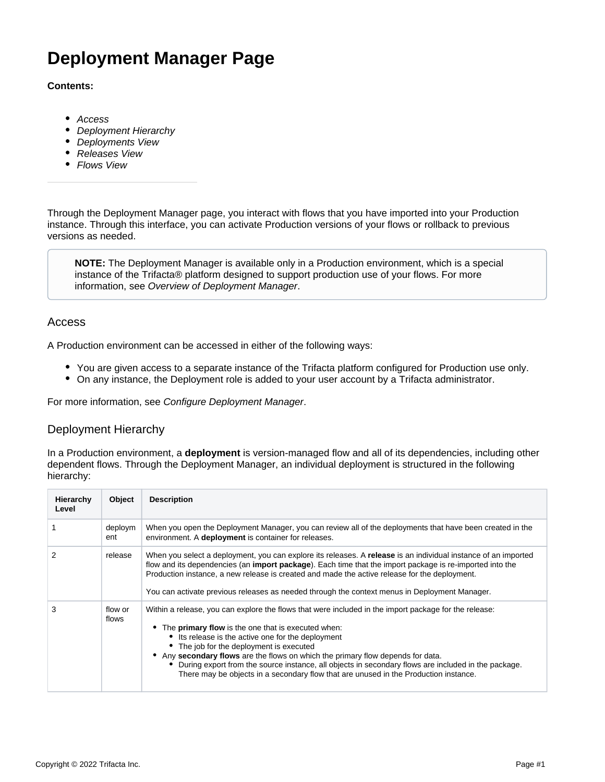# **Deployment Manager Page**

### **Contents:**

- [Access](#page-0-0)
- [Deployment Hierarchy](#page-0-1)
- [Deployments View](#page-1-0)
- [Releases View](#page-1-1)
- [Flows View](#page-2-0)

Through the Deployment Manager page, you interact with flows that you have imported into your Production instance. Through this interface, you can activate Production versions of your flows or rollback to previous versions as needed.

**NOTE:** The Deployment Manager is available only in a Production environment, which is a special instance of the Trifacta® platform designed to support production use of your flows. For more information, see [Overview of Deployment Manager](https://docs.trifacta.com/display/r087/Overview+of+Deployment+Manager).

## <span id="page-0-0"></span>Access

A Production environment can be accessed in either of the following ways:

- You are given access to a separate instance of the Trifacta platform configured for Production use only.
- On any instance, the Deployment role is added to your user account by a Trifacta administrator.

For more information, see [Configure Deployment Manager](https://docs.trifacta.com/display/r087/Configure+Deployment+Manager).

## <span id="page-0-1"></span>Deployment Hierarchy

In a Production environment, a **deployment** is version-managed flow and all of its dependencies, including other dependent flows. Through the Deployment Manager, an individual deployment is structured in the following hierarchy:

| Hierarchy<br>Level | Object           | <b>Description</b>                                                                                                                                                                                                                                                                                                                                                                                                                                                                                                                                       |
|--------------------|------------------|----------------------------------------------------------------------------------------------------------------------------------------------------------------------------------------------------------------------------------------------------------------------------------------------------------------------------------------------------------------------------------------------------------------------------------------------------------------------------------------------------------------------------------------------------------|
|                    | deploym<br>ent   | When you open the Deployment Manager, you can review all of the deployments that have been created in the<br>environment. A deployment is container for releases.                                                                                                                                                                                                                                                                                                                                                                                        |
|                    | release          | When you select a deployment, you can explore its releases. A release is an individual instance of an imported<br>flow and its dependencies (an <b>import package</b> ). Each time that the import package is re-imported into the<br>Production instance, a new release is created and made the active release for the deployment.<br>You can activate previous releases as needed through the context menus in Deployment Manager.                                                                                                                     |
| 3                  | flow or<br>flows | Within a release, you can explore the flows that were included in the import package for the release:<br>• The <b>primary flow</b> is the one that is executed when:<br>• Its release is the active one for the deployment<br>• The job for the deployment is executed<br>• Any secondary flows are the flows on which the primary flow depends for data.<br>During export from the source instance, all objects in secondary flows are included in the package.<br>There may be objects in a secondary flow that are unused in the Production instance. |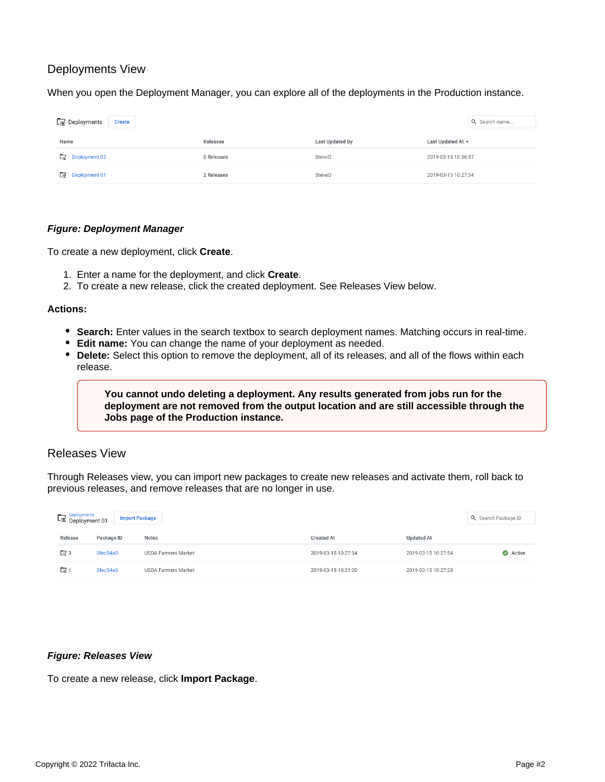## <span id="page-1-0"></span>Deployments View

When you open the Deployment Manager, you can explore all of the deployments in the Production instance.

| $\Gamma \equiv$ Deployments<br><b>Create</b> |            |                 |                     |  |  |
|----------------------------------------------|------------|-----------------|---------------------|--|--|
| Name                                         | Releases   | Last Updated By | Last Updated At ▼   |  |  |
| <b>Deployment 02</b><br>Œ                    | 0 Releases | SteveO          | 2019-03-15 10:36:57 |  |  |
| $\Box$ Deployment 01                         | 2 Releases | <b>SteveO</b>   | 2019-03-15 10:27:54 |  |  |

#### **Figure: Deployment Manager**

To create a new deployment, click **Create**.

- 1. Enter a name for the deployment, and click **Create**.
- 2. To create a new release, click the created deployment. See Releases View below.

#### **Actions:**

- **Search:** Enter values in the search textbox to search deployment names. Matching occurs in real-time.
- **Edit name:** You can change the name of your deployment as needed.
- **Delete:** Select this option to remove the deployment, all of its releases, and all of the flows within each release.

**You cannot undo deleting a deployment. Any results generated from jobs run for the deployment are not removed from the output location and are still accessible through the Jobs page of the Production instance.**

## <span id="page-1-1"></span>Releases View

Through Releases view, you can import new packages to create new releases and activate them, roll back to previous releases, and remove releases that are no longer in use.

| Deployments<br>Deployment 01<br><b>Import Package</b> |            |                            |                     |                     | Q Search Package ID |
|-------------------------------------------------------|------------|----------------------------|---------------------|---------------------|---------------------|
| Release                                               | Package ID | <b>Notes</b>               | <b>Created At</b>   | <b>Updated At</b>   |                     |
| $\Box$ 3                                              | Ofec54a0   | USDA Farmers Market        | 2019-03-15 10:27:54 | 2019-03-15 10:27:54 | Active              |
| GB 1                                                  | Ofec54a0   | <b>USDA Farmers Market</b> | 2019-03-15 10:21:20 | 2019-03-15 10:27:28 |                     |

#### **Figure: Releases View**

To create a new release, click **Import Package**.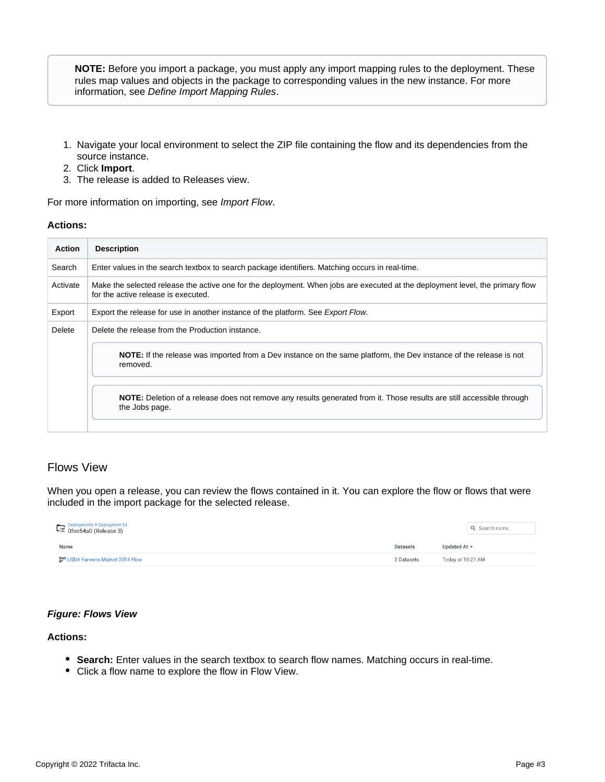**NOTE:** Before you import a package, you must apply any import mapping rules to the deployment. These rules map values and objects in the package to corresponding values in the new instance. For more information, see [Define Import Mapping Rules](https://docs.trifacta.com/display/r087/Define+Import+Mapping+Rules).

- 1. Navigate your local environment to select the ZIP file containing the flow and its dependencies from the source instance.
- 2. Click **Import**.
- 3. The release is added to Releases view.

For more information on importing, see [Import Flow](https://docs.trifacta.com/display/r087/Import+Flow).

#### **Actions:**

| <b>Action</b> | <b>Description</b>                                                                                                                                                   |  |  |  |
|---------------|----------------------------------------------------------------------------------------------------------------------------------------------------------------------|--|--|--|
| Search        | Enter values in the search textbox to search package identifiers. Matching occurs in real-time.                                                                      |  |  |  |
| Activate      | Make the selected release the active one for the deployment. When jobs are executed at the deployment level, the primary flow<br>for the active release is executed. |  |  |  |
| Export        | Export the release for use in another instance of the platform. See Export Flow.                                                                                     |  |  |  |
| Delete        | Delete the release from the Production instance.                                                                                                                     |  |  |  |
|               | <b>NOTE:</b> If the release was imported from a Dev instance on the same platform, the Dev instance of the release is not<br>removed.                                |  |  |  |
|               | NOTE: Deletion of a release does not remove any results generated from it. Those results are still accessible through<br>the Jobs page.                              |  |  |  |

## <span id="page-2-0"></span>Flows View

When you open a release, you can review the flows contained in it. You can explore the flow or flows that were included in the import package for the selected release.

| Deployments > Deployment 01<br>E: Ofec54a0 (Release 3) |                 |                   |  |  |
|--------------------------------------------------------|-----------------|-------------------|--|--|
| Name                                                   | <b>Datasets</b> | Updated At $\sim$ |  |  |
| <b>37° USDA Farmers Market 2014 Flow</b>               |                 | Today at 10:27 AM |  |  |

## **Figure: Flows View**

### **Actions:**

- **Search:** Enter values in the search textbox to search flow names. Matching occurs in real-time.
- Click a flow name to explore the flow in Flow View.